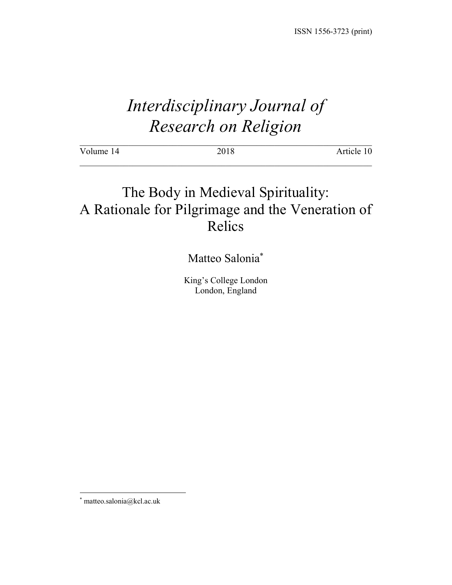# *Interdisciplinary Journal of Research on Religion*

| Volume 14 | 2018 | Article 10 |
|-----------|------|------------|
|           |      |            |

## The Body in Medieval Spirituality: A Rationale for Pilgrimage and the Veneration of Relics

### Matteo Salonia\*

King's College London London, England

 <sup>\*</sup> matteo.salonia@kcl.ac.uk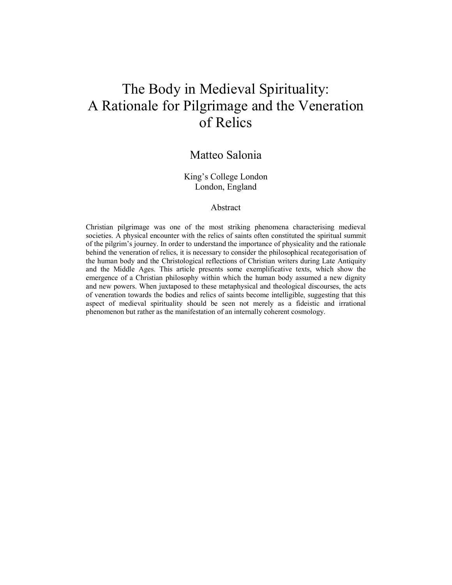## The Body in Medieval Spirituality: A Rationale for Pilgrimage and the Veneration of Relics

### Matteo Salonia

#### King's College London London, England

#### Abstract

Christian pilgrimage was one of the most striking phenomena characterising medieval societies. A physical encounter with the relics of saints often constituted the spiritual summit of the pilgrim's journey. In order to understand the importance of physicality and the rationale behind the veneration of relics, it is necessary to consider the philosophical recategorisation of the human body and the Christological reflections of Christian writers during Late Antiquity and the Middle Ages. This article presents some exemplificative texts, which show the emergence of a Christian philosophy within which the human body assumed a new dignity and new powers. When juxtaposed to these metaphysical and theological discourses, the acts of veneration towards the bodies and relics of saints become intelligible, suggesting that this aspect of medieval spirituality should be seen not merely as a fideistic and irrational phenomenon but rather as the manifestation of an internally coherent cosmology.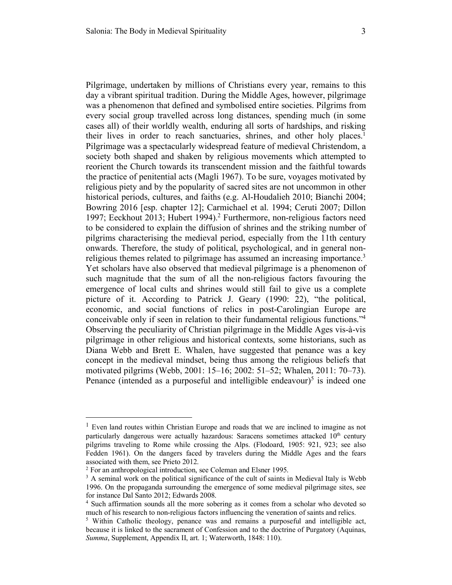Pilgrimage, undertaken by millions of Christians every year, remains to this day a vibrant spiritual tradition. During the Middle Ages, however, pilgrimage was a phenomenon that defined and symbolised entire societies. Pilgrims from every social group travelled across long distances, spending much (in some cases all) of their worldly wealth, enduring all sorts of hardships, and risking their lives in order to reach sanctuaries, shrines, and other holy places.<sup>1</sup> Pilgrimage was a spectacularly widespread feature of medieval Christendom, a society both shaped and shaken by religious movements which attempted to reorient the Church towards its transcendent mission and the faithful towards the practice of penitential acts (Magli 1967). To be sure, voyages motivated by religious piety and by the popularity of sacred sites are not uncommon in other historical periods, cultures, and faiths (e.g. Al-Houdalieh 2010; Bianchi 2004; Bowring 2016 [esp. chapter 12]; Carmichael et al. 1994; Ceruti 2007; Dillon 1997; Eeckhout 2013; Hubert 1994). <sup>2</sup> Furthermore, non-religious factors need to be considered to explain the diffusion of shrines and the striking number of pilgrims characterising the medieval period, especially from the 11th century onwards. Therefore, the study of political, psychological, and in general nonreligious themes related to pilgrimage has assumed an increasing importance.<sup>3</sup> Yet scholars have also observed that medieval pilgrimage is a phenomenon of such magnitude that the sum of all the non-religious factors favouring the emergence of local cults and shrines would still fail to give us a complete picture of it. According to Patrick J. Geary (1990: 22), "the political, economic, and social functions of relics in post-Carolingian Europe are conceivable only if seen in relation to their fundamental religious functions."4 Observing the peculiarity of Christian pilgrimage in the Middle Ages vis-à-vis pilgrimage in other religious and historical contexts, some historians, such as Diana Webb and Brett E. Whalen, have suggested that penance was a key concept in the medieval mindset, being thus among the religious beliefs that motivated pilgrims (Webb, 2001: 15–16; 2002: 51–52; Whalen, 2011: 70–73). Penance (intended as a purposeful and intelligible endeavour)<sup>5</sup> is indeed one

<sup>&</sup>lt;sup>1</sup> Even land routes within Christian Europe and roads that we are inclined to imagine as not particularly dangerous were actually hazardous: Saracens sometimes attacked  $10<sup>th</sup>$  century pilgrims traveling to Rome while crossing the Alps. (Flodoard, 1905: 921, 923; see also Fedden 1961). On the dangers faced by travelers during the Middle Ages and the fears associated with them, see Prieto 2012.

<sup>2</sup> For an anthropological introduction, see Coleman and Elsner 1995.

 $3$  A seminal work on the political significance of the cult of saints in Medieval Italy is Webb 1996. On the propaganda surrounding the emergence of some medieval pilgrimage sites, see for instance Dal Santo 2012; Edwards 2008.

<sup>4</sup> Such affirmation sounds all the more sobering as it comes from a scholar who devoted so much of his research to non-religious factors influencing the veneration of saints and relics.

<sup>&</sup>lt;sup>5</sup> Within Catholic theology, penance was and remains a purposeful and intelligible act, because it is linked to the sacrament of Confession and to the doctrine of Purgatory (Aquinas, *Summa*, Supplement, Appendix II, art. 1; Waterworth, 1848: 110).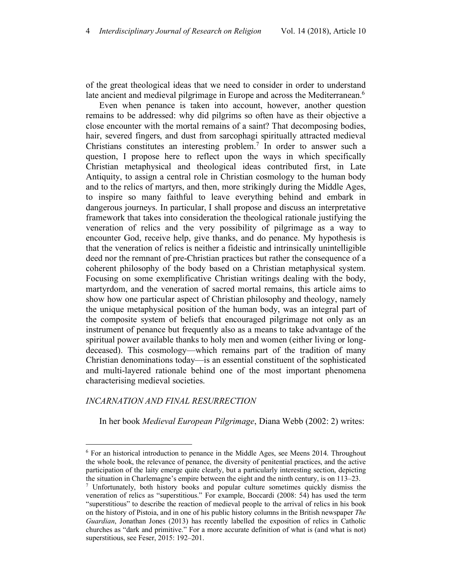of the great theological ideas that we need to consider in order to understand late ancient and medieval pilgrimage in Europe and across the Mediterranean.<sup>6</sup>

Even when penance is taken into account, however, another question remains to be addressed: why did pilgrims so often have as their objective a close encounter with the mortal remains of a saint? That decomposing bodies, hair, severed fingers, and dust from sarcophagi spiritually attracted medieval Christians constitutes an interesting problem. <sup>7</sup> In order to answer such a question, I propose here to reflect upon the ways in which specifically Christian metaphysical and theological ideas contributed first, in Late Antiquity, to assign a central role in Christian cosmology to the human body and to the relics of martyrs, and then, more strikingly during the Middle Ages, to inspire so many faithful to leave everything behind and embark in dangerous journeys. In particular, I shall propose and discuss an interpretative framework that takes into consideration the theological rationale justifying the veneration of relics and the very possibility of pilgrimage as a way to encounter God, receive help, give thanks, and do penance. My hypothesis is that the veneration of relics is neither a fideistic and intrinsically unintelligible deed nor the remnant of pre-Christian practices but rather the consequence of a coherent philosophy of the body based on a Christian metaphysical system. Focusing on some exemplificative Christian writings dealing with the body, martyrdom, and the veneration of sacred mortal remains, this article aims to show how one particular aspect of Christian philosophy and theology, namely the unique metaphysical position of the human body, was an integral part of the composite system of beliefs that encouraged pilgrimage not only as an instrument of penance but frequently also as a means to take advantage of the spiritual power available thanks to holy men and women (either living or longdeceased). This cosmology—which remains part of the tradition of many Christian denominations today—is an essential constituent of the sophisticated and multi-layered rationale behind one of the most important phenomena characterising medieval societies.

#### *INCARNATION AND FINAL RESURRECTION*

In her book *Medieval European Pilgrimage*, Diana Webb (2002: 2) writes:

 <sup>6</sup> For an historical introduction to penance in the Middle Ages, see Meens 2014. Throughout the whole book, the relevance of penance, the diversity of penitential practices, and the active participation of the laity emerge quite clearly, but a particularly interesting section, depicting the situation in Charlemagne's empire between the eight and the ninth century, is on 113–23.

<sup>7</sup> Unfortunately, both history books and popular culture sometimes quickly dismiss the veneration of relics as "superstitious." For example, Boccardi (2008: 54) has used the term "superstitious" to describe the reaction of medieval people to the arrival of relics in his book on the history of Pistoia, and in one of his public history columns in the British newspaper *The Guardian*, Jonathan Jones (2013) has recently labelled the exposition of relics in Catholic churches as "dark and primitive." For a more accurate definition of what is (and what is not) superstitious, see Feser, 2015: 192–201.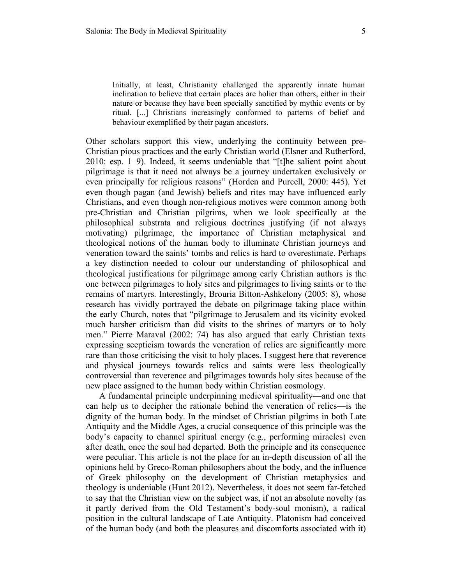Initially, at least, Christianity challenged the apparently innate human inclination to believe that certain places are holier than others, either in their nature or because they have been specially sanctified by mythic events or by ritual. [...] Christians increasingly conformed to patterns of belief and behaviour exemplified by their pagan ancestors.

Other scholars support this view, underlying the continuity between pre-Christian pious practices and the early Christian world (Elsner and Rutherford, 2010: esp. 1–9). Indeed, it seems undeniable that "[t]he salient point about pilgrimage is that it need not always be a journey undertaken exclusively or even principally for religious reasons" (Horden and Purcell, 2000: 445). Yet even though pagan (and Jewish) beliefs and rites may have influenced early Christians, and even though non-religious motives were common among both pre-Christian and Christian pilgrims, when we look specifically at the philosophical substrata and religious doctrines justifying (if not always motivating) pilgrimage, the importance of Christian metaphysical and theological notions of the human body to illuminate Christian journeys and veneration toward the saints' tombs and relics is hard to overestimate. Perhaps a key distinction needed to colour our understanding of philosophical and theological justifications for pilgrimage among early Christian authors is the one between pilgrimages to holy sites and pilgrimages to living saints or to the remains of martyrs. Interestingly, Brouria Bitton-Ashkelony (2005: 8), whose research has vividly portrayed the debate on pilgrimage taking place within the early Church, notes that "pilgrimage to Jerusalem and its vicinity evoked much harsher criticism than did visits to the shrines of martyrs or to holy men." Pierre Maraval (2002: 74) has also argued that early Christian texts expressing scepticism towards the veneration of relics are significantly more rare than those criticising the visit to holy places. I suggest here that reverence and physical journeys towards relics and saints were less theologically controversial than reverence and pilgrimages towards holy sites because of the new place assigned to the human body within Christian cosmology.

A fundamental principle underpinning medieval spirituality—and one that can help us to decipher the rationale behind the veneration of relics—is the dignity of the human body. In the mindset of Christian pilgrims in both Late Antiquity and the Middle Ages, a crucial consequence of this principle was the body's capacity to channel spiritual energy (e.g., performing miracles) even after death, once the soul had departed. Both the principle and its consequence were peculiar. This article is not the place for an in-depth discussion of all the opinions held by Greco-Roman philosophers about the body, and the influence of Greek philosophy on the development of Christian metaphysics and theology is undeniable (Hunt 2012). Nevertheless, it does not seem far-fetched to say that the Christian view on the subject was, if not an absolute novelty (as it partly derived from the Old Testament's body-soul monism), a radical position in the cultural landscape of Late Antiquity. Platonism had conceived of the human body (and both the pleasures and discomforts associated with it)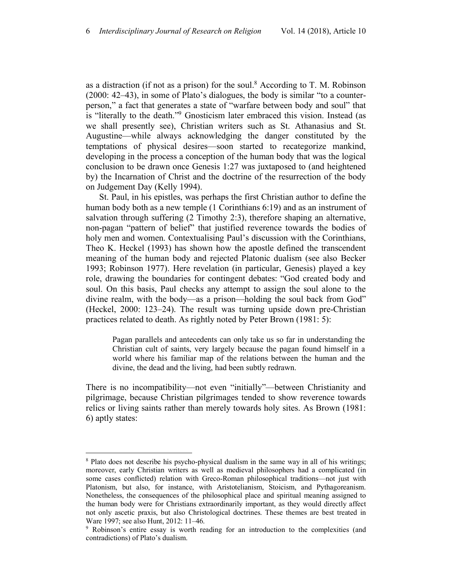as a distraction (if not as a prison) for the soul.<sup>8</sup> According to T. M. Robinson (2000: 42–43), in some of Plato's dialogues, the body is similar "to a counterperson," a fact that generates a state of "warfare between body and soul" that is "literally to the death."9 Gnosticism later embraced this vision. Instead (as we shall presently see), Christian writers such as St. Athanasius and St. Augustine—while always acknowledging the danger constituted by the temptations of physical desires—soon started to recategorize mankind, developing in the process a conception of the human body that was the logical conclusion to be drawn once Genesis 1:27 was juxtaposed to (and heightened by) the Incarnation of Christ and the doctrine of the resurrection of the body on Judgement Day (Kelly 1994).

St. Paul, in his epistles, was perhaps the first Christian author to define the human body both as a new temple (1 Corinthians 6:19) and as an instrument of salvation through suffering (2 Timothy 2:3), therefore shaping an alternative, non-pagan "pattern of belief" that justified reverence towards the bodies of holy men and women. Contextualising Paul's discussion with the Corinthians, Theo K. Heckel (1993) has shown how the apostle defined the transcendent meaning of the human body and rejected Platonic dualism (see also Becker 1993; Robinson 1977). Here revelation (in particular, Genesis) played a key role, drawing the boundaries for contingent debates: "God created body and soul. On this basis, Paul checks any attempt to assign the soul alone to the divine realm, with the body—as a prison—holding the soul back from God" (Heckel, 2000: 123–24). The result was turning upside down pre-Christian practices related to death. As rightly noted by Peter Brown (1981: 5):

Pagan parallels and antecedents can only take us so far in understanding the Christian cult of saints, very largely because the pagan found himself in a world where his familiar map of the relations between the human and the divine, the dead and the living, had been subtly redrawn.

There is no incompatibility—not even "initially"—between Christianity and pilgrimage, because Christian pilgrimages tended to show reverence towards relics or living saints rather than merely towards holy sites. As Brown (1981: 6) aptly states:

 <sup>8</sup> Plato does not describe his psycho-physical dualism in the same way in all of his writings; moreover, early Christian writers as well as medieval philosophers had a complicated (in some cases conflicted) relation with Greco-Roman philosophical traditions—not just with Platonism, but also, for instance, with Aristotelianism, Stoicism, and Pythagoreanism. Nonetheless, the consequences of the philosophical place and spiritual meaning assigned to the human body were for Christians extraordinarily important, as they would directly affect not only ascetic praxis, but also Christological doctrines. These themes are best treated in Ware 1997; see also Hunt, 2012: 11–46.

<sup>9</sup> Robinson's entire essay is worth reading for an introduction to the complexities (and contradictions) of Plato's dualism.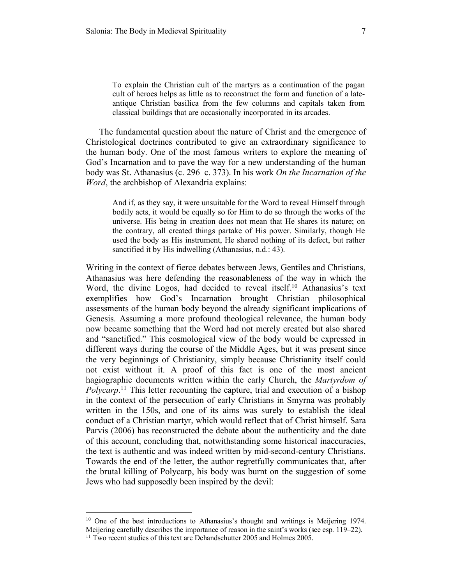To explain the Christian cult of the martyrs as a continuation of the pagan cult of heroes helps as little as to reconstruct the form and function of a lateantique Christian basilica from the few columns and capitals taken from classical buildings that are occasionally incorporated in its arcades.

The fundamental question about the nature of Christ and the emergence of Christological doctrines contributed to give an extraordinary significance to the human body. One of the most famous writers to explore the meaning of God's Incarnation and to pave the way for a new understanding of the human body was St. Athanasius (c. 296–c. 373). In his work *On the Incarnation of the Word*, the archbishop of Alexandria explains:

And if, as they say, it were unsuitable for the Word to reveal Himself through bodily acts, it would be equally so for Him to do so through the works of the universe. His being in creation does not mean that He shares its nature; on the contrary, all created things partake of His power. Similarly, though He used the body as His instrument, He shared nothing of its defect, but rather sanctified it by His indwelling (Athanasius, n.d.: 43).

Writing in the context of fierce debates between Jews, Gentiles and Christians, Athanasius was here defending the reasonableness of the way in which the Word, the divine Logos, had decided to reveal itself.<sup>10</sup> Athanasius's text exemplifies how God's Incarnation brought Christian philosophical assessments of the human body beyond the already significant implications of Genesis. Assuming a more profound theological relevance, the human body now became something that the Word had not merely created but also shared and "sanctified." This cosmological view of the body would be expressed in different ways during the course of the Middle Ages, but it was present since the very beginnings of Christianity, simply because Christianity itself could not exist without it. A proof of this fact is one of the most ancient hagiographic documents written within the early Church, the *Martyrdom of Polycarp*.<sup>11</sup> This letter recounting the capture, trial and execution of a bishop in the context of the persecution of early Christians in Smyrna was probably written in the 150s, and one of its aims was surely to establish the ideal conduct of a Christian martyr, which would reflect that of Christ himself. Sara Parvis (2006) has reconstructed the debate about the authenticity and the date of this account, concluding that, notwithstanding some historical inaccuracies, the text is authentic and was indeed written by mid-second-century Christians. Towards the end of the letter, the author regretfully communicates that, after the brutal killing of Polycarp, his body was burnt on the suggestion of some Jews who had supposedly been inspired by the devil:

<sup>&</sup>lt;sup>10</sup> One of the best introductions to Athanasius's thought and writings is Meijering 1974. Meijering carefully describes the importance of reason in the saint's works (see esp. 119–22).

<sup>&</sup>lt;sup>11</sup> Two recent studies of this text are Dehandschutter 2005 and Holmes 2005.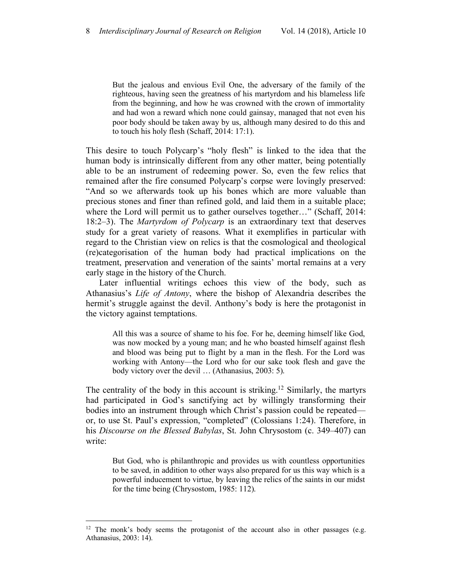But the jealous and envious Evil One, the adversary of the family of the righteous, having seen the greatness of his martyrdom and his blameless life from the beginning, and how he was crowned with the crown of immortality and had won a reward which none could gainsay, managed that not even his poor body should be taken away by us, although many desired to do this and to touch his holy flesh (Schaff, 2014: 17:1).

This desire to touch Polycarp's "holy flesh" is linked to the idea that the human body is intrinsically different from any other matter, being potentially able to be an instrument of redeeming power. So, even the few relics that remained after the fire consumed Polycarp's corpse were lovingly preserved: "And so we afterwards took up his bones which are more valuable than precious stones and finer than refined gold, and laid them in a suitable place; where the Lord will permit us to gather ourselves together…" (Schaff, 2014: 18:2–3). The *Martyrdom of Polycarp* is an extraordinary text that deserves study for a great variety of reasons. What it exemplifies in particular with regard to the Christian view on relics is that the cosmological and theological (re)categorisation of the human body had practical implications on the treatment, preservation and veneration of the saints' mortal remains at a very early stage in the history of the Church.

Later influential writings echoes this view of the body, such as Athanasius's *Life of Antony*, where the bishop of Alexandria describes the hermit's struggle against the devil. Anthony's body is here the protagonist in the victory against temptations.

All this was a source of shame to his foe. For he, deeming himself like God, was now mocked by a young man; and he who boasted himself against flesh and blood was being put to flight by a man in the flesh. For the Lord was working with Antony—the Lord who for our sake took flesh and gave the body victory over the devil … (Athanasius, 2003: 5).

The centrality of the body in this account is striking.<sup>12</sup> Similarly, the martyrs had participated in God's sanctifying act by willingly transforming their bodies into an instrument through which Christ's passion could be repeated or, to use St. Paul's expression, "completed" (Colossians 1:24). Therefore, in his *Discourse on the Blessed Babylas*, St. John Chrysostom (c. 349–407) can write:

But God, who is philanthropic and provides us with countless opportunities to be saved, in addition to other ways also prepared for us this way which is a powerful inducement to virtue, by leaving the relics of the saints in our midst for the time being (Chrysostom, 1985: 112).

 $12$  The monk's body seems the protagonist of the account also in other passages (e.g. Athanasius, 2003: 14).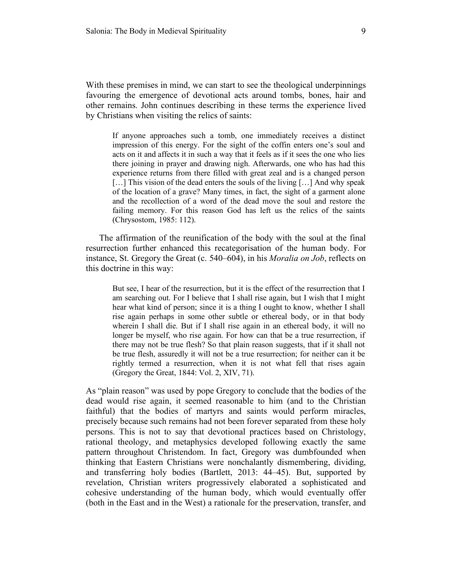With these premises in mind, we can start to see the theological underpinnings favouring the emergence of devotional acts around tombs, bones, hair and other remains. John continues describing in these terms the experience lived by Christians when visiting the relics of saints:

If anyone approaches such a tomb, one immediately receives a distinct impression of this energy. For the sight of the coffin enters one's soul and acts on it and affects it in such a way that it feels as if it sees the one who lies there joining in prayer and drawing nigh. Afterwards, one who has had this experience returns from there filled with great zeal and is a changed person [...] This vision of the dead enters the souls of the living [...] And why speak of the location of a grave? Many times, in fact, the sight of a garment alone and the recollection of a word of the dead move the soul and restore the failing memory. For this reason God has left us the relics of the saints (Chrysostom, 1985: 112).

The affirmation of the reunification of the body with the soul at the final resurrection further enhanced this recategorisation of the human body. For instance, St. Gregory the Great (c. 540–604), in his *Moralia on Job*, reflects on this doctrine in this way:

But see, I hear of the resurrection, but it is the effect of the resurrection that I am searching out. For I believe that I shall rise again, but I wish that I might hear what kind of person; since it is a thing I ought to know, whether I shall rise again perhaps in some other subtle or ethereal body, or in that body wherein I shall die. But if I shall rise again in an ethereal body, it will no longer be myself, who rise again. For how can that be a true resurrection, if there may not be true flesh? So that plain reason suggests, that if it shall not be true flesh, assuredly it will not be a true resurrection; for neither can it be rightly termed a resurrection, when it is not what fell that rises again (Gregory the Great, 1844: Vol. 2, XIV, 71).

As "plain reason" was used by pope Gregory to conclude that the bodies of the dead would rise again, it seemed reasonable to him (and to the Christian faithful) that the bodies of martyrs and saints would perform miracles, precisely because such remains had not been forever separated from these holy persons. This is not to say that devotional practices based on Christology, rational theology, and metaphysics developed following exactly the same pattern throughout Christendom. In fact, Gregory was dumbfounded when thinking that Eastern Christians were nonchalantly dismembering, dividing, and transferring holy bodies (Bartlett, 2013: 44–45). But, supported by revelation, Christian writers progressively elaborated a sophisticated and cohesive understanding of the human body, which would eventually offer (both in the East and in the West) a rationale for the preservation, transfer, and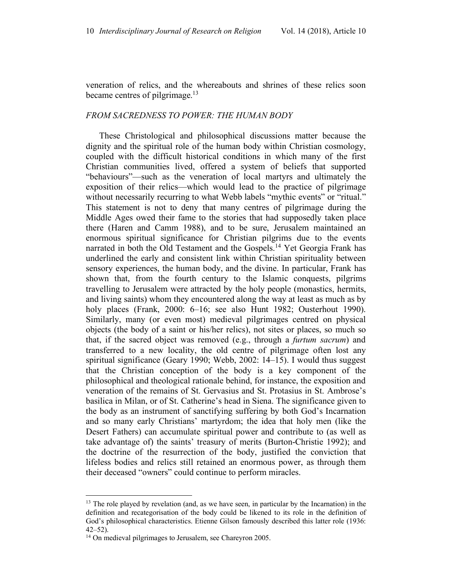veneration of relics, and the whereabouts and shrines of these relics soon became centres of pilgrimage.<sup>13</sup>

#### *FROM SACREDNESS TO POWER: THE HUMAN BODY*

These Christological and philosophical discussions matter because the dignity and the spiritual role of the human body within Christian cosmology, coupled with the difficult historical conditions in which many of the first Christian communities lived, offered a system of beliefs that supported "behaviours"—such as the veneration of local martyrs and ultimately the exposition of their relics—which would lead to the practice of pilgrimage without necessarily recurring to what Webb labels "mythic events" or "ritual." This statement is not to deny that many centres of pilgrimage during the Middle Ages owed their fame to the stories that had supposedly taken place there (Haren and Camm 1988), and to be sure, Jerusalem maintained an enormous spiritual significance for Christian pilgrims due to the events narrated in both the Old Testament and the Gospels.<sup>14</sup> Yet Georgia Frank has underlined the early and consistent link within Christian spirituality between sensory experiences, the human body, and the divine. In particular, Frank has shown that, from the fourth century to the Islamic conquests, pilgrims travelling to Jerusalem were attracted by the holy people (monastics, hermits, and living saints) whom they encountered along the way at least as much as by holy places (Frank, 2000: 6-16; see also Hunt 1982; Ousterhout 1990). Similarly, many (or even most) medieval pilgrimages centred on physical objects (the body of a saint or his/her relics), not sites or places, so much so that, if the sacred object was removed (e.g., through a *furtum sacrum*) and transferred to a new locality, the old centre of pilgrimage often lost any spiritual significance (Geary 1990; Webb, 2002: 14–15). I would thus suggest that the Christian conception of the body is a key component of the philosophical and theological rationale behind, for instance, the exposition and veneration of the remains of St. Gervasius and St. Protasius in St. Ambrose's basilica in Milan, or of St. Catherine's head in Siena. The significance given to the body as an instrument of sanctifying suffering by both God's Incarnation and so many early Christians' martyrdom; the idea that holy men (like the Desert Fathers) can accumulate spiritual power and contribute to (as well as take advantage of) the saints' treasury of merits (Burton-Christie 1992); and the doctrine of the resurrection of the body, justified the conviction that lifeless bodies and relics still retained an enormous power, as through them their deceased "owners" could continue to perform miracles.

<sup>&</sup>lt;sup>13</sup> The role played by revelation (and, as we have seen, in particular by the Incarnation) in the definition and recategorisation of the body could be likened to its role in the definition of God's philosophical characteristics. Etienne Gilson famously described this latter role (1936:  $42 - 52$ ).

<sup>&</sup>lt;sup>14</sup> On medieval pilgrimages to Jerusalem, see Chareyron 2005.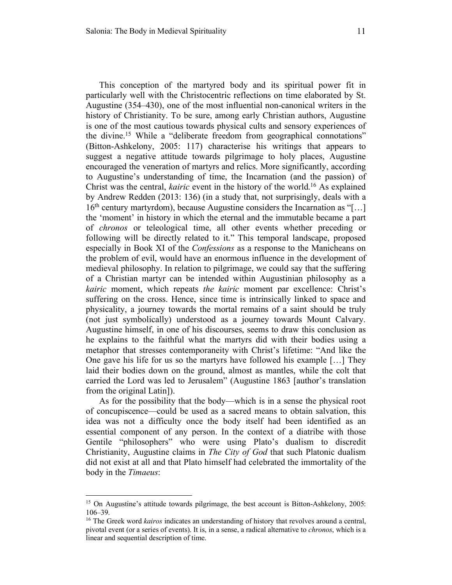This conception of the martyred body and its spiritual power fit in particularly well with the Christocentric reflections on time elaborated by St. Augustine (354–430), one of the most influential non-canonical writers in the history of Christianity. To be sure, among early Christian authors, Augustine is one of the most cautious towards physical cults and sensory experiences of the divine.15 While a "deliberate freedom from geographical connotations" (Bitton-Ashkelony, 2005: 117) characterise his writings that appears to suggest a negative attitude towards pilgrimage to holy places, Augustine encouraged the veneration of martyrs and relics. More significantly, according to Augustine's understanding of time, the Incarnation (and the passion) of Christ was the central, *kairic* event in the history of the world.16 As explained by Andrew Redden (2013: 136) (in a study that, not surprisingly, deals with a  $16<sup>th</sup>$  century martyrdom), because Augustine considers the Incarnation as "[...] the 'moment' in history in which the eternal and the immutable became a part of *chronos* or teleological time, all other events whether preceding or following will be directly related to it." This temporal landscape, proposed especially in Book XI of the *Confessions* as a response to the Manicheans on the problem of evil, would have an enormous influence in the development of medieval philosophy. In relation to pilgrimage, we could say that the suffering of a Christian martyr can be intended within Augustinian philosophy as a *kairic* moment, which repeats *the kairic* moment par excellence: Christ's suffering on the cross. Hence, since time is intrinsically linked to space and physicality, a journey towards the mortal remains of a saint should be truly (not just symbolically) understood as a journey towards Mount Calvary. Augustine himself, in one of his discourses, seems to draw this conclusion as he explains to the faithful what the martyrs did with their bodies using a metaphor that stresses contemporaneity with Christ's lifetime: "And like the One gave his life for us so the martyrs have followed his example […] They laid their bodies down on the ground, almost as mantles, while the colt that carried the Lord was led to Jerusalem" (Augustine 1863 [author's translation from the original Latin]).

As for the possibility that the body—which is in a sense the physical root of concupiscence—could be used as a sacred means to obtain salvation, this idea was not a difficulty once the body itself had been identified as an essential component of any person. In the context of a diatribe with those Gentile "philosophers" who were using Plato's dualism to discredit Christianity, Augustine claims in *The City of God* that such Platonic dualism did not exist at all and that Plato himself had celebrated the immortality of the body in the *Timaeus*:

<sup>&</sup>lt;sup>15</sup> On Augustine's attitude towards pilgrimage, the best account is Bitton-Ashkelony, 2005: 106–39.

<sup>&</sup>lt;sup>16</sup> The Greek word *kairos* indicates an understanding of history that revolves around a central, pivotal event (or a series of events). It is, in a sense, a radical alternative to *chronos*, which is a linear and sequential description of time.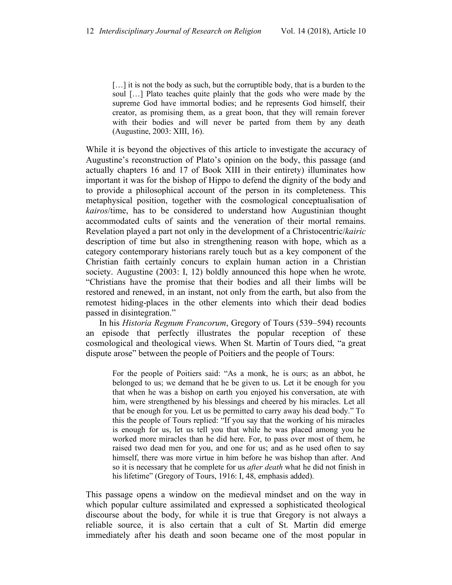[...] it is not the body as such, but the corruptible body, that is a burden to the soul […] Plato teaches quite plainly that the gods who were made by the supreme God have immortal bodies; and he represents God himself, their creator, as promising them, as a great boon, that they will remain forever with their bodies and will never be parted from them by any death (Augustine, 2003: XIII, 16).

While it is beyond the objectives of this article to investigate the accuracy of Augustine's reconstruction of Plato's opinion on the body, this passage (and actually chapters 16 and 17 of Book XIII in their entirety) illuminates how important it was for the bishop of Hippo to defend the dignity of the body and to provide a philosophical account of the person in its completeness. This metaphysical position, together with the cosmological conceptualisation of *kairos*/time, has to be considered to understand how Augustinian thought accommodated cults of saints and the veneration of their mortal remains. Revelation played a part not only in the development of a Christocentric/*kairic* description of time but also in strengthening reason with hope, which as a category contemporary historians rarely touch but as a key component of the Christian faith certainly concurs to explain human action in a Christian society. Augustine (2003: I, 12) boldly announced this hope when he wrote, "Christians have the promise that their bodies and all their limbs will be restored and renewed, in an instant, not only from the earth, but also from the remotest hiding-places in the other elements into which their dead bodies passed in disintegration."

In his *Historia Regnum Francorum*, Gregory of Tours (539–594) recounts an episode that perfectly illustrates the popular reception of these cosmological and theological views. When St. Martin of Tours died, "a great dispute arose" between the people of Poitiers and the people of Tours:

For the people of Poitiers said: "As a monk, he is ours; as an abbot, he belonged to us; we demand that he be given to us. Let it be enough for you that when he was a bishop on earth you enjoyed his conversation, ate with him, were strengthened by his blessings and cheered by his miracles. Let all that be enough for you. Let us be permitted to carry away his dead body." To this the people of Tours replied: "If you say that the working of his miracles is enough for us, let us tell you that while he was placed among you he worked more miracles than he did here. For, to pass over most of them, he raised two dead men for you, and one for us; and as he used often to say himself, there was more virtue in him before he was bishop than after. And so it is necessary that he complete for us *after death* what he did not finish in his lifetime" (Gregory of Tours, 1916: I, 48, emphasis added).

This passage opens a window on the medieval mindset and on the way in which popular culture assimilated and expressed a sophisticated theological discourse about the body, for while it is true that Gregory is not always a reliable source, it is also certain that a cult of St. Martin did emerge immediately after his death and soon became one of the most popular in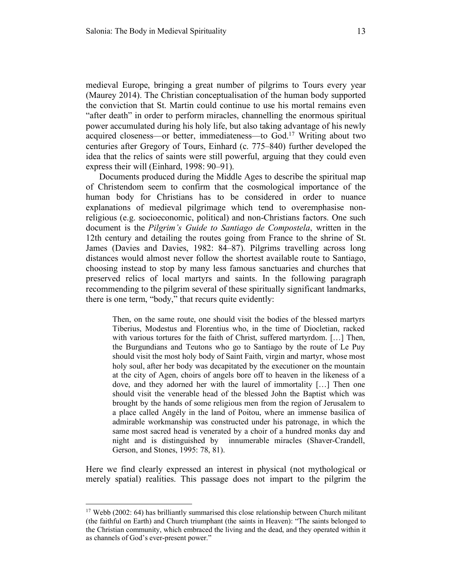medieval Europe, bringing a great number of pilgrims to Tours every year (Maurey 2014). The Christian conceptualisation of the human body supported the conviction that St. Martin could continue to use his mortal remains even "after death" in order to perform miracles, channelling the enormous spiritual power accumulated during his holy life, but also taking advantage of his newly acquired closeness—or better, immediateness—to God.17 Writing about two centuries after Gregory of Tours, Einhard (c. 775–840) further developed the idea that the relics of saints were still powerful, arguing that they could even express their will (Einhard, 1998: 90–91).

Documents produced during the Middle Ages to describe the spiritual map of Christendom seem to confirm that the cosmological importance of the human body for Christians has to be considered in order to nuance explanations of medieval pilgrimage which tend to overemphasise nonreligious (e.g. socioeconomic, political) and non-Christians factors. One such document is the *Pilgrim's Guide to Santiago de Compostela*, written in the 12th century and detailing the routes going from France to the shrine of St. James (Davies and Davies, 1982: 84–87). Pilgrims travelling across long distances would almost never follow the shortest available route to Santiago, choosing instead to stop by many less famous sanctuaries and churches that preserved relics of local martyrs and saints. In the following paragraph recommending to the pilgrim several of these spiritually significant landmarks, there is one term, "body," that recurs quite evidently:

Then, on the same route, one should visit the bodies of the blessed martyrs Tiberius, Modestus and Florentius who, in the time of Diocletian, racked with various tortures for the faith of Christ, suffered martyrdom. […] Then, the Burgundians and Teutons who go to Santiago by the route of Le Puy should visit the most holy body of Saint Faith, virgin and martyr, whose most holy soul, after her body was decapitated by the executioner on the mountain at the city of Agen, choirs of angels bore off to heaven in the likeness of a dove, and they adorned her with the laurel of immortality […] Then one should visit the venerable head of the blessed John the Baptist which was brought by the hands of some religious men from the region of Jerusalem to a place called Angély in the land of Poitou, where an immense basilica of admirable workmanship was constructed under his patronage, in which the same most sacred head is venerated by a choir of a hundred monks day and night and is distinguished by innumerable miracles (Shaver-Crandell, Gerson, and Stones, 1995: 78, 81).

Here we find clearly expressed an interest in physical (not mythological or merely spatial) realities. This passage does not impart to the pilgrim the

<sup>&</sup>lt;sup>17</sup> Webb (2002: 64) has brilliantly summarised this close relationship between Church militant (the faithful on Earth) and Church triumphant (the saints in Heaven): "The saints belonged to the Christian community, which embraced the living and the dead, and they operated within it as channels of God's ever-present power."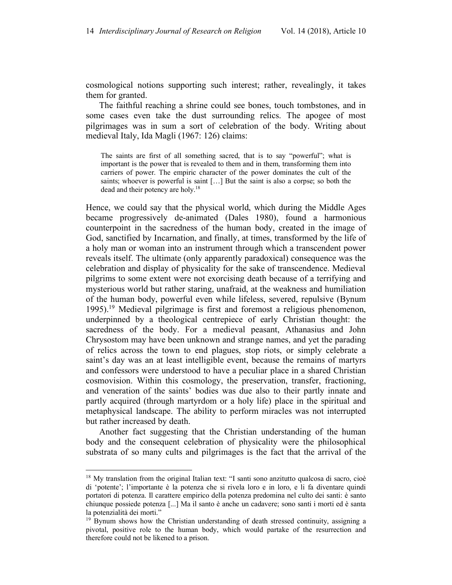cosmological notions supporting such interest; rather, revealingly, it takes them for granted.

The faithful reaching a shrine could see bones, touch tombstones, and in some cases even take the dust surrounding relics. The apogee of most pilgrimages was in sum a sort of celebration of the body. Writing about medieval Italy, Ida Magli (1967: 126) claims:

The saints are first of all something sacred, that is to say "powerful"; what is important is the power that is revealed to them and in them, transforming them into carriers of power. The empiric character of the power dominates the cult of the saints; whoever is powerful is saint […] But the saint is also a corpse; so both the dead and their potency are holy.18

Hence, we could say that the physical world, which during the Middle Ages became progressively de-animated (Dales 1980), found a harmonious counterpoint in the sacredness of the human body, created in the image of God, sanctified by Incarnation, and finally, at times, transformed by the life of a holy man or woman into an instrument through which a transcendent power reveals itself. The ultimate (only apparently paradoxical) consequence was the celebration and display of physicality for the sake of transcendence. Medieval pilgrims to some extent were not exorcising death because of a terrifying and mysterious world but rather staring, unafraid, at the weakness and humiliation of the human body, powerful even while lifeless, severed, repulsive (Bynum 1995). <sup>19</sup> Medieval pilgrimage is first and foremost a religious phenomenon, underpinned by a theological centrepiece of early Christian thought: the sacredness of the body. For a medieval peasant, Athanasius and John Chrysostom may have been unknown and strange names, and yet the parading of relics across the town to end plagues, stop riots, or simply celebrate a saint's day was an at least intelligible event, because the remains of martyrs and confessors were understood to have a peculiar place in a shared Christian cosmovision. Within this cosmology, the preservation, transfer, fractioning, and veneration of the saints' bodies was due also to their partly innate and partly acquired (through martyrdom or a holy life) place in the spiritual and metaphysical landscape. The ability to perform miracles was not interrupted but rather increased by death.

Another fact suggesting that the Christian understanding of the human body and the consequent celebration of physicality were the philosophical substrata of so many cults and pilgrimages is the fact that the arrival of the

<sup>&</sup>lt;sup>18</sup> My translation from the original Italian text: "I santi sono anzitutto qualcosa di sacro, cioè di 'potente'; l'importante è la potenza che si rivela loro e in loro, e li fa diventare quindi portatori di potenza. Il carattere empirico della potenza predomina nel culto dei santi: è santo chiunque possiede potenza [...] Ma il santo è anche un cadavere; sono santi i morti ed è santa la potenzialità dei morti."

<sup>&</sup>lt;sup>19</sup> Bynum shows how the Christian understanding of death stressed continuity, assigning a pivotal, positive role to the human body, which would partake of the resurrection and therefore could not be likened to a prison.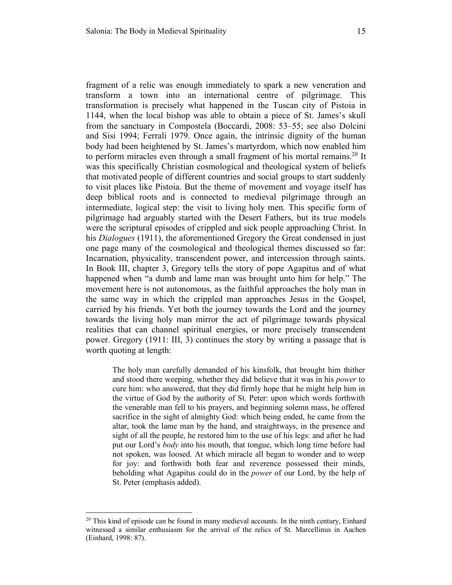fragment of a relic was enough immediately to spark a new veneration and transform a town into an international centre of pilgrimage. This transformation is precisely what happened in the Tuscan city of Pistoia in 1144, when the local bishop was able to obtain a piece of St. James's skull from the sanctuary in Compostela (Boccardi, 2008: 53–55; see also Dolcini and Sisi 1994; Ferrali 1979. Once again, the intrinsic dignity of the human body had been heightened by St. James's martyrdom, which now enabled him to perform miracles even through a small fragment of his mortal remains.20 It was this specifically Christian cosmological and theological system of beliefs that motivated people of different countries and social groups to start suddenly to visit places like Pistoia. But the theme of movement and voyage itself has deep biblical roots and is connected to medieval pilgrimage through an intermediate, logical step: the visit to living holy men. This specific form of pilgrimage had arguably started with the Desert Fathers, but its true models were the scriptural episodes of crippled and sick people approaching Christ. In his *Dialogues* (1911), the aforementioned Gregory the Great condensed in just one page many of the cosmological and theological themes discussed so far: Incarnation, physicality, transcendent power, and intercession through saints. In Book III, chapter 3, Gregory tells the story of pope Agapitus and of what happened when "a dumb and lame man was brought unto him for help." The movement here is not autonomous, as the faithful approaches the holy man in the same way in which the crippled man approaches Jesus in the Gospel, carried by his friends. Yet both the journey towards the Lord and the journey towards the living holy man mirror the act of pilgrimage towards physical realities that can channel spiritual energies, or more precisely transcendent power. Gregory (1911: III, 3) continues the story by writing a passage that is worth quoting at length:

The holy man carefully demanded of his kinsfolk, that brought him thither and stood there weeping, whether they did believe that it was in his *power* to cure him: who answered, that they did firmly hope that he might help him in the virtue of God by the authority of St. Peter: upon which words forthwith the venerable man fell to his prayers, and beginning solemn mass, he offered sacrifice in the sight of almighty God: which being ended, he came from the altar, took the lame man by the hand, and straightways, in the presence and sight of all the people, he restored him to the use of his legs: and after he had put our Lord's *body* into his mouth, that tongue, which long time before had not spoken, was loosed. At which miracle all began to wonder and to weep for joy: and forthwith both fear and reverence possessed their minds, beholding what Agapitus could do in the *power* of our Lord, by the help of St. Peter (emphasis added).

 $20$  This kind of episode can be found in many medieval accounts. In the ninth century, Einhard witnessed a similar enthusiasm for the arrival of the relics of St. Marcellinus in Aachen (Einhard, 1998: 87).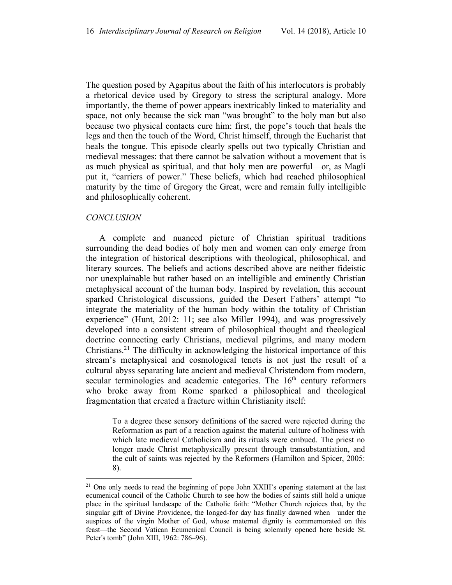The question posed by Agapitus about the faith of his interlocutors is probably a rhetorical device used by Gregory to stress the scriptural analogy. More importantly, the theme of power appears inextricably linked to materiality and space, not only because the sick man "was brought" to the holy man but also because two physical contacts cure him: first, the pope's touch that heals the legs and then the touch of the Word, Christ himself, through the Eucharist that heals the tongue. This episode clearly spells out two typically Christian and medieval messages: that there cannot be salvation without a movement that is as much physical as spiritual, and that holy men are powerful—or, as Magli put it, "carriers of power." These beliefs, which had reached philosophical maturity by the time of Gregory the Great, were and remain fully intelligible and philosophically coherent.

#### *CONCLUSION*

A complete and nuanced picture of Christian spiritual traditions surrounding the dead bodies of holy men and women can only emerge from the integration of historical descriptions with theological, philosophical, and literary sources. The beliefs and actions described above are neither fideistic nor unexplainable but rather based on an intelligible and eminently Christian metaphysical account of the human body. Inspired by revelation, this account sparked Christological discussions, guided the Desert Fathers' attempt "to integrate the materiality of the human body within the totality of Christian experience" (Hunt, 2012: 11; see also Miller 1994), and was progressively developed into a consistent stream of philosophical thought and theological doctrine connecting early Christians, medieval pilgrims, and many modern Christians.21 The difficulty in acknowledging the historical importance of this stream's metaphysical and cosmological tenets is not just the result of a cultural abyss separating late ancient and medieval Christendom from modern, secular terminologies and academic categories. The 16<sup>th</sup> century reformers who broke away from Rome sparked a philosophical and theological fragmentation that created a fracture within Christianity itself:

To a degree these sensory definitions of the sacred were rejected during the Reformation as part of a reaction against the material culture of holiness with which late medieval Catholicism and its rituals were embued. The priest no longer made Christ metaphysically present through transubstantiation, and the cult of saints was rejected by the Reformers (Hamilton and Spicer, 2005: 8).

 $2<sup>1</sup>$  One only needs to read the beginning of pope John XXIII's opening statement at the last ecumenical council of the Catholic Church to see how the bodies of saints still hold a unique place in the spiritual landscape of the Catholic faith: "Mother Church rejoices that, by the singular gift of Divine Providence, the longed-for day has finally dawned when—under the auspices of the virgin Mother of God, whose maternal dignity is commemorated on this feast—the Second Vatican Ecumenical Council is being solemnly opened here beside St. Peter's tomb" (John XIII, 1962: 786–96).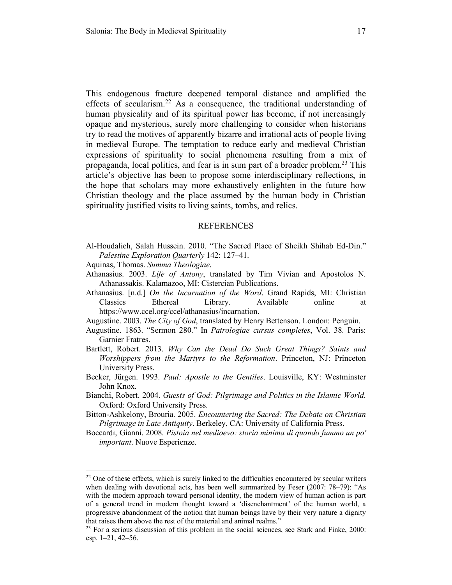This endogenous fracture deepened temporal distance and amplified the effects of secularism.<sup>22</sup> As a consequence, the traditional understanding of human physicality and of its spiritual power has become, if not increasingly opaque and mysterious, surely more challenging to consider when historians try to read the motives of apparently bizarre and irrational acts of people living in medieval Europe. The temptation to reduce early and medieval Christian expressions of spirituality to social phenomena resulting from a mix of propaganda, local politics, and fear is in sum part of a broader problem.23 This article's objective has been to propose some interdisciplinary reflections, in the hope that scholars may more exhaustively enlighten in the future how Christian theology and the place assumed by the human body in Christian spirituality justified visits to living saints, tombs, and relics.

#### REFERENCES

- Al-Houdalieh, Salah Hussein. 2010. "The Sacred Place of Sheikh Shihab Ed-Din." *Palestine Exploration Quarterly* 142: 127–41.
- Aquinas, Thomas. *Summa Theologiae*.
- Athanasius. 2003. *Life of Antony*, translated by Tim Vivian and Apostolos N. Athanassakis. Kalamazoo, MI: Cistercian Publications.
- Athanasius. [n.d.] *On the Incarnation of the Word*. Grand Rapids, MI: Christian Classics Ethereal Library. Available online at https://www.ccel.org/ccel/athanasius/incarnation.
- Augustine. 2003. *The City of God*, translated by Henry Bettenson. London: Penguin.
- Augustine. 1863. "Sermon 280." In *Patrologiae cursus completes*, Vol. 38. Paris: Garnier Fratres.
- Bartlett, Robert. 2013. *Why Can the Dead Do Such Great Things? Saints and Worshippers from the Martyrs to the Reformation*. Princeton, NJ: Princeton University Press.
- Becker, Jürgen. 1993. *Paul: Apostle to the Gentiles*. Louisville, KY: Westminster John Knox.
- Bianchi, Robert. 2004. *Guests of God: Pilgrimage and Politics in the Islamic World*. Oxford: Oxford University Press.
- Bitton-Ashkelony, Brouria. 2005. *Encountering the Sacred: The Debate on Christian Pilgrimage in Late Antiquity*. Berkeley, CA: University of California Press.
- Boccardi, Gianni. 2008. *Pistoia nel medioevo: storia minima di quando fummo un po' important*. Nuove Esperienze.

 $22$  One of these effects, which is surely linked to the difficulties encountered by secular writers when dealing with devotional acts, has been well summarized by Feser (2007: 78–79): "As with the modern approach toward personal identity, the modern view of human action is part of a general trend in modern thought toward a 'disenchantment' of the human world, a progressive abandonment of the notion that human beings have by their very nature a dignity that raises them above the rest of the material and animal realms."

 $2<sup>23</sup>$  For a serious discussion of this problem in the social sciences, see Stark and Finke, 2000: esp. 1–21, 42–56.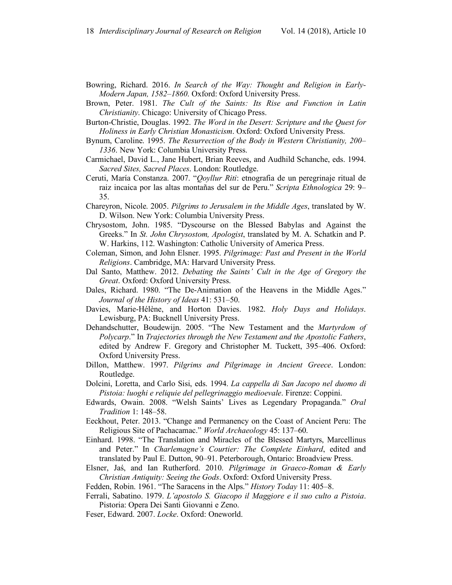- Bowring, Richard. 2016. *In Search of the Way: Thought and Religion in Early-Modern Japan, 1582–1860*. Oxford: Oxford University Press.
- Brown, Peter. 1981. *The Cult of the Saints: Its Rise and Function in Latin Christianity*. Chicago: University of Chicago Press.
- Burton-Christie, Douglas. 1992. *The Word in the Desert: Scripture and the Quest for Holiness in Early Christian Monasticism*. Oxford: Oxford University Press.
- Bynum, Caroline. 1995. *The Resurrection of the Body in Western Christianity, 200– 1336*. New York: Columbia University Press.
- Carmichael, David L., Jane Hubert, Brian Reeves, and Audhild Schanche, eds. 1994. *Sacred Sites, Sacred Places*. London: Routledge.
- Ceruti, María Constanza. 2007. "*Qoyllur Riti*: etnografia de un peregrinaje ritual de raiz incaica por las altas montañas del sur de Peru." *Scripta Ethnologica* 29: 9– 35.
- Chareyron, Nicole. 2005. *Pilgrims to Jerusalem in the Middle Ages*, translated by W. D. Wilson. New York: Columbia University Press.
- Chrysostom, John. 1985. "Dyscourse on the Blessed Babylas and Against the Greeks." In *St. John Chrysostom, Apologist*, translated by M. A. Schatkin and P. W. Harkins, 112. Washington: Catholic University of America Press.
- Coleman, Simon, and John Elsner. 1995. *Pilgrimage: Past and Present in the World Religions*. Cambridge, MA: Harvard University Press.
- Dal Santo, Matthew. 2012. *Debating the Saints' Cult in the Age of Gregory the Great*. Oxford: Oxford University Press.
- Dales, Richard. 1980. "The De-Animation of the Heavens in the Middle Ages." *Journal of the History of Ideas* 41: 531–50.
- Davies, Marie-Hélène, and Horton Davies. 1982. *Holy Days and Holidays*. Lewisburg, PA: Bucknell University Press.
- Dehandschutter, Boudewijn. 2005. "The New Testament and the *Martyrdom of Polycarp*." In *Trajectories through the New Testament and the Apostolic Fathers*, edited by Andrew F. Gregory and Christopher M. Tuckett, 395–406. Oxford: Oxford University Press.
- Dillon, Matthew. 1997. *Pilgrims and Pilgrimage in Ancient Greece*. London: Routledge.
- Dolcini, Loretta, and Carlo Sisi, eds. 1994. *La cappella di San Jacopo nel duomo di Pistoia: luoghi e reliquie del pellegrinaggio medioevale*. Firenze: Coppini.
- Edwards, Owain. 2008. "Welsh Saints' Lives as Legendary Propaganda." *Oral Tradition* 1: 148–58.
- Eeckhout, Peter. 2013. "Change and Permanency on the Coast of Ancient Peru: The Religious Site of Pachacamac." *World Archaeology* 45: 137–60.
- Einhard. 1998. "The Translation and Miracles of the Blessed Martyrs, Marcellinus and Peter." In *Charlemagne's Courtier: The Complete Einhard*, edited and translated by Paul E. Dutton, 90–91. Peterborough, Ontario: Broadview Press.
- Elsner, Jaś, and Ian Rutherford. 2010. *Pilgrimage in Graeco-Roman & Early Christian Antiquity: Seeing the Gods*. Oxford: Oxford University Press.

Fedden, Robin. 1961. "The Saracens in the Alps." *History Today* 11: 405–8.

- Ferrali, Sabatino. 1979. *L'apostolo S. Giacopo il Maggiore e il suo culto a Pistoia*. Pistoria: Opera Dei Santi Giovanni e Zeno.
- Feser, Edward. 2007. *Locke*. Oxford: Oneworld.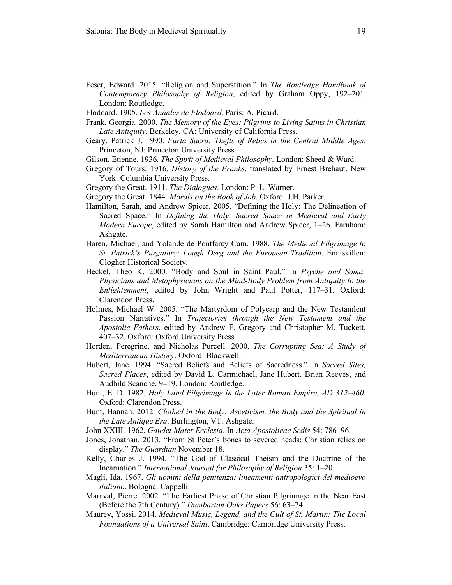- Feser, Edward. 2015. "Religion and Superstition." In *The Routledge Handbook of Contemporary Philosophy of Religion*, edited by Graham Oppy, 192–201. London: Routledge.
- Flodoard. 1905. *Les Annales de Flodoard*. Paris: A. Picard.
- Frank, Georgia. 2000. *The Memory of the Eyes: Pilgrims to Living Saints in Christian Late Antiquity*. Berkeley, CA: University of California Press.
- Geary, Patrick J. 1990. *Furta Sacra: Thefts of Relics in the Central Middle Ages*. Princeton, NJ: Princeton University Press.
- Gilson, Etienne. 1936. *The Spirit of Medieval Philosophy*. London: Sheed & Ward.
- Gregory of Tours. 1916. *History of the Franks*, translated by Ernest Brehaut. New York: Columbia University Press.
- Gregory the Great. 1911. *The Dialogues*. London: P. L. Warner.
- Gregory the Great. 1844. *Morals on the Book of Job*. Oxford: J.H. Parker.
- Hamilton, Sarah, and Andrew Spicer. 2005. "Defining the Holy: The Delineation of Sacred Space." In *Defining the Holy: Sacred Space in Medieval and Early Modern Europe*, edited by Sarah Hamilton and Andrew Spicer, 1–26. Farnham: Ashgate.
- Haren, Michael, and Yolande de Pontfarcy Cam. 1988. *The Medieval Pilgrimage to St. Patrick's Purgatory: Lough Derg and the European Tradition*. Enniskillen: Clogher Historical Society.
- Heckel, Theo K. 2000. "Body and Soul in Saint Paul." In *Psyche and Soma: Physicians and Metaphysicians on the Mind-Body Problem from Antiquity to the Enlightenment*, edited by John Wright and Paul Potter, 117–31. Oxford: Clarendon Press.
- Holmes, Michael W. 2005. "The Martyrdom of Polycarp and the New Testamlent Passion Narratives." In *Trajectories through the New Testament and the Apostolic Fathers*, edited by Andrew F. Gregory and Christopher M. Tuckett, 407–32. Oxford: Oxford University Press.
- Horden, Peregrine, and Nicholas Purcell. 2000. *The Corrupting Sea: A Study of Mediterranean History*. Oxford: Blackwell.
- Hubert, Jane. 1994. "Sacred Beliefs and Beliefs of Sacredness." In *Sacred Sites, Sacred Places*, edited by David L. Carmichael, Jane Hubert, Brian Reeves, and Audhild Scanche, 9–19. London: Routledge.
- Hunt, E. D. 1982. *Holy Land Pilgrimage in the Later Roman Empire, AD 312–460*. Oxford: Clarendon Press.
- Hunt, Hannah. 2012. *Clothed in the Body: Asceticism, the Body and the Spiritual in the Late Antique Era*. Burlington, VT: Ashgate.
- John XXIII. 1962. *Gaudet Mater Ecclesia*. In *Acta Apostolicae Sedis* 54: 786–96.
- Jones, Jonathan. 2013. "From St Peter's bones to severed heads: Christian relics on display." *The Guardian* November 18.
- Kelly, Charles J. 1994. "The God of Classical Theism and the Doctrine of the Incarnation." *International Journal for Philosophy of Religion* 35: 1–20.
- Magli, Ida. 1967. *Gli uomini della penitenza: lineamenti antropologici del medioevo italiano*. Bologna: Cappelli.
- Maraval, Pierre. 2002. "The Earliest Phase of Christian Pilgrimage in the Near East (Before the 7th Century)." *Dumbarton Oaks Papers* 56: 63–74.
- Maurey, Yossi. 2014. *Medieval Music, Legend, and the Cult of St. Martin: The Local Foundations of a Universal Saint*. Cambridge: Cambridge University Press.